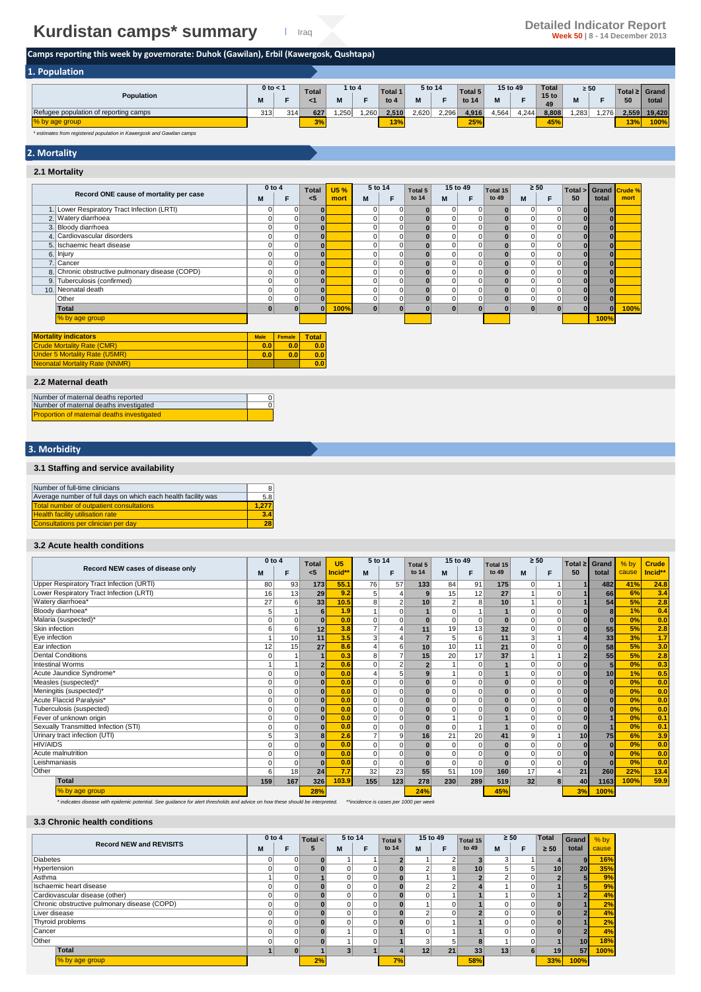## **Kurdistan camps\* summary Detailed Indicator Report Detailed Indicator Report Super Solution Security Contains a Security Contains a Security Contains a Security Contains a Security Contains a Security Contains a Sec**

### **Camps reporting this week by governorate: Duhok (Gawilan), Erbil (Kawergosk, Qushtapa)**

| 1. Population                         |            |     |                 |      |          |         |         |       |         |       |          |                        |           |      |                    |        |
|---------------------------------------|------------|-----|-----------------|------|----------|---------|---------|-------|---------|-------|----------|------------------------|-----------|------|--------------------|--------|
|                                       | 0 to $\lt$ |     | <b>Total</b>    |      | 1 to $4$ | Total 1 | 5 to 14 |       | Total 5 |       | 15 to 49 | Total                  | $\geq 50$ |      | Total $\geq$ Grand |        |
| Population                            |            |     |                 | M    |          | to $4$  | M       |       | to 14   | M     |          | 15 <sub>to</sub><br>49 |           |      | 50                 | total  |
| Refugee population of reporting camps | 313        | 314 | 627             | .250 | .260     | 2.510   | 2.620   | 2,296 | 4.916   | 4,564 | 4,244    | 8,808                  | ,283      | .276 | 2,559              | 19,420 |
| % by age group                        |            |     | $\sim$<br>$3\%$ |      |          | 13%     |         |       | 25%     |       |          | 45%                    |           |      | 13%                | 100%   |

*\* estimates from registered population in Kawergosk and Gawilan camps*

#### **2. Mortality**

#### **2.1 Mortality**

|                                                    | $0$ to $4$   |                | <b>Total</b> | <b>U5%</b> | 5 to 14      |             | Total 5 | 15 to 49 |          | Total 15     | $\geq 50$   |          | Total >      | Grand Crude % |      |
|----------------------------------------------------|--------------|----------------|--------------|------------|--------------|-------------|---------|----------|----------|--------------|-------------|----------|--------------|---------------|------|
| Record ONE cause of mortality per case             | M            | F              | < 5          | mort       | М            | F           | to 14   | M        | F        | to 49        | M           | F        | 50           | total         | mort |
| Lower Respiratory Tract Infection (LRTI)<br>1.     | 0            | $\mathbf 0$    | $\bf{0}$     |            | $\Omega$     | 0           |         | 0        | 0        | $\bf{0}$     | $\mathbf 0$ |          |              | $\bf{0}$      |      |
| 2. Watery diarrhoea                                | 0            | 0              | $\bf{0}$     |            |              | 0           |         |          | 0        | $\bf{0}$     | 0           |          |              | $\bf{0}$      |      |
| 3. Bloody diarrhoea                                | 0            | $\overline{0}$ | $\bf{0}$     |            |              | $\mathbf 0$ |         |          | 0        | $\mathbf{0}$ | $\Omega$    |          | 0.           | $\bf{0}$      |      |
| 4. Cardiovascular disorders                        | 0            | $\mathbf 0$    | $\bf{0}$     |            |              | 0           |         |          | 0        | $\mathbf{0}$ | 0           |          | $\mathbf{0}$ | $\bf{0}$      |      |
| Ischaemic heart disease<br>5.                      | $\Omega$     | $\mathbf 0$    | $\Omega$     |            |              | $\mathbf 0$ |         |          | 0        | $\mathbf{0}$ | $\Omega$    |          | $\mathbf{0}$ | $\bf{0}$      |      |
| 6. Injury                                          | 0            | 0              | $\bf{0}$     |            |              | $\mathbf 0$ |         |          | 0        | $\mathbf{0}$ | 0           | $\Omega$ | $\bf{0}$     | $\bf{0}$      |      |
| Cancer<br>$\overline{7}$                           | 0            | $\overline{0}$ | $\Omega$     |            | 0            | 0           | ŋ       |          | 0        | $\mathbf{0}$ | $\mathbf 0$ |          | $\mathbf{0}$ | $\bf{0}$      |      |
| Chronic obstructive pulmonary disease (COPD)<br>8. | $\Omega$     | $\mathbf 0$    |              |            |              | $\mathbf 0$ |         |          | 0        |              | $\Omega$    | $\Omega$ | $\bf{0}$     | $\bf{0}$      |      |
| 9. Tuberculosis (confirmed)                        | 0            | 0              | $\bf{0}$     |            |              | $\mathbf 0$ |         |          | 0        | $\bf{0}$     | $\mathbf 0$ | $\Omega$ | $\mathbf{0}$ | $\bf{0}$      |      |
| Neonatal death<br>10.                              | 0            | $\overline{0}$ | $\bf{0}$     |            | 0            | $\mathbf 0$ |         |          | 0        | $\mathbf{0}$ | $\mathbf 0$ | $\Omega$ | $\mathbf{0}$ | $\bf{0}$      |      |
| Other                                              | 0            | 0              | $\Omega$     |            |              | $\mathbf 0$ |         |          | 0        | $\bf{0}$     | $\mathbf 0$ |          | $\mathbf{0}$ | $\bf{0}$      |      |
| Total                                              | $\mathbf{0}$ |                | $\Omega$     | 100%       | $\mathbf{0}$ | $\bf{0}$    |         | $\bf{0}$ | $\bf{0}$ | $\bf{0}$     | $\bf{0}$    |          | $\mathbf{0}$ | $\bf{0}$      | 100% |
| % by age group                                     |              |                |              |            |              |             |         |          |          |              |             |          |              | 100%          |      |
| <b>Mortality indicators</b>                        | <b>Male</b>  | Female         | <b>Total</b> |            |              |             |         |          |          |              |             |          |              |               |      |
| <b>Crude Mortality Rate (CMR)</b>                  | 0.0          | 0.0            | 0.0          |            |              |             |         |          |          |              |             |          |              |               |      |
| <b>Under 5 Mortality Rate (U5MR)</b>               | 0.0          | 0.0            | 0.0          |            |              |             |         |          |          |              |             |          |              |               |      |
| <b>Neonatal Mortality Rate (NNMR)</b>              |              |                | 0.0          |            |              |             |         |          |          |              |             |          |              |               |      |
| 2.2 Maternal death                                 |              |                |              |            |              |             |         |          |          |              |             |          |              |               |      |

#### **2.2 Maternal death**

| Number of maternal deaths reported         |  |
|--------------------------------------------|--|
| Number of maternal deaths investigated     |  |
| Proportion of maternal deaths investigated |  |

#### **3. Morbidity**

#### **3.1 Staffing and service availability**

| Number of full-time clinicians                                | 8     |
|---------------------------------------------------------------|-------|
| Average number of full days on which each health facility was | 5.8   |
| <b>Total number of outpatient consultations</b>               | 1.277 |
| <b>Health facility utilisation rate</b>                       | 3.4   |
| Consultations per clinician per day                           | 28    |

#### **3.2 Acute health conditions**

|                                          | 0 to 4   |          | <b>Total</b>   | U <sub>5</sub> | 5 to 14        |          | Total 5      | 15 to 49       |                | Total 15     | $\geq 50$ |          | Total $\geq$ | Grand        | % by  | <b>Crude</b> |
|------------------------------------------|----------|----------|----------------|----------------|----------------|----------|--------------|----------------|----------------|--------------|-----------|----------|--------------|--------------|-------|--------------|
| Record NEW cases of disease only         | M        | F        | $5$            | Incid*         | M              | F        | to 14        | M              | F              | to 49        | M         | F        | 50           | total        | cause | Incid**      |
| Upper Respiratory Tract Infection (URTI) | 80       | 93       | 173            | 55.7           | 76             | 57       | 133          | 84             | 91             | 175          | $\Omega$  |          |              | 482          | 41%   | 24.8         |
| Lower Respiratory Tract Infection (LRTI) | 16       | 13       | 29             | 9.2            | 5 <sup>5</sup> |          | 9            | 15             | 12             | 27           |           | $\Omega$ |              | 66           | 6%    | 3.4          |
| Watery diarrhoea*                        | 27       | 6        | 33             | 10.5           | 8              |          | 10           | $\overline{2}$ | 8              | 10           |           |          |              | 54           | 5%    | 2.8          |
| Bloody diarrhoea*                        |          |          | 6              | 1.9            |                |          |              | 0              | $\mathbf{1}$   |              | $\Omega$  | 0        |              | 8            | 1%    | 0.4          |
| Malaria (suspected)*                     |          | $\Omega$ | $\Omega$       | 0.0            | $\Omega$       |          | $\bf{0}$     | 0              | $\mathbf 0$    |              | 0         |          |              | $\bf{0}$     | 0%    | 0.0          |
| Skin infection                           | 6        | 6        | 12             | 3.8            | $\overline{7}$ |          | 11           | 19             | 13             | 32           | $\Omega$  | $\Omega$ |              | 55           | 5%    | 2.8          |
| Eye infection                            |          | 10       | 11             | 3.5            | 3              |          |              | 5              | 6              | 11           | 3         |          |              | 33           | 3%    | 1.7          |
| Ear infection                            | 12       | 15       | 27             | 8.6            | $\overline{4}$ | 6        | 10           | 10             | 11             | 21           | $\Omega$  |          | ŋ            | 58           | 5%    | 3.0          |
| <b>Dental Conditions</b>                 |          |          |                | 0.3            | 8 <sup>1</sup> |          | 15           | 20             | 17             | 37           |           |          |              | 55           | 5%    | 2.8          |
| <b>Intestinal Worms</b>                  |          |          | $\overline{2}$ | 0.6            | $\mathbf 0$    |          |              |                | $\overline{0}$ |              | $\Omega$  | $\Omega$ |              | 5            | 0%    | 0.3          |
| Acute Jaundice Syndrome*                 |          | 0        | $\bf{0}$       | 0.0            |                |          |              |                | $\mathbf 0$    |              | $\Omega$  | $\Omega$ | ŋ            | 10           | 1%    | 0.5          |
| Measles (suspected)*                     | 0        | 0        | $\bf{0}$       | 0.0            | $\Omega$       | $\Omega$ |              | 0              | $\Omega$       |              | $\Omega$  | $\Omega$ |              | $\mathbf{0}$ | 0%    | 0.0          |
| Meningitis (suspected)*                  | 0        | 0        | $\bf{0}$       | 0.0            | $\Omega$       | $\Omega$ | $\mathbf{0}$ | 0              | $\mathbf 0$    | $\Omega$     | $\Omega$  | $\Omega$ |              | $\mathbf{0}$ | 0%    | 0.0          |
| Acute Flaccid Paralysis*                 |          | 0        | $\Omega$       | 0.0            | $\Omega$       | $\Omega$ |              | 0              | $\Omega$       | $\mathbf{0}$ | $\Omega$  | $\Omega$ |              | $\mathbf{0}$ | 0%    | 0.0          |
| Tuberculosis (suspected)                 | 0        | 0        | $\bf{0}$       | 0.0            | $\Omega$       | $\Omega$ | $\mathbf{0}$ | 0              | $\overline{0}$ |              | $\Omega$  | $\Omega$ |              | $\Omega$     | 0%    | 0.0          |
| Fever of unknown origin                  |          | 0        | $\bf{0}$       | 0.0            | $\Omega$       | 0        | $\mathbf{0}$ |                | $\mathbf 0$    |              | $\Omega$  | $\Omega$ |              |              | 0%    | 0.1          |
| Sexually Transmitted Infection (STI)     |          | 0        | $\Omega$       | 0.0            | $\Omega$       | $\Omega$ | $\mathbf{0}$ | $\overline{0}$ |                |              | $\Omega$  | $\Omega$ |              |              | 0%    | 0.1          |
| Urinary tract infection (UTI)            | 5        | 3        | 8              | 2.6            | $\overline{7}$ | 9        | 16           | 21             | 20             | 41           | 9         |          | 10           | 75           | 6%    | 3.9          |
| <b>HIV/AIDS</b>                          |          | 0        | $\Omega$       | 0.0            | $\Omega$       | $\Omega$ | $\mathbf{0}$ | 0              | $\Omega$       | $\bf{0}$     | $\Omega$  | $\Omega$ |              | $\mathbf{0}$ | 0%    | 0.0          |
| Acute malnutrition                       | 0        | 0        | $\Omega$       | 0.0            | $\Omega$       | $\Omega$ |              | 0              | $\mathbf 0$    |              | $\Omega$  | $\Omega$ |              | $\Omega$     | 0%    | 0.0          |
| Leishmaniasis                            | $\Omega$ | 0        | $\bf{0}$       | 0.0            | $\Omega$       | $\Omega$ | $\mathbf{0}$ | 0              | $\mathbf 0$    | $\bf{0}$     | $\Omega$  | $\Omega$ | $\bf{0}$     | $\bf{0}$     | 0%    | 0.0          |
| Other                                    | հ        | 18       | 24             | 7.7            | 32             | 23       | 55           | 51             | 109            | 160          | 17        |          | 21           | 260          | 22%   | 13.4         |
| <b>Total</b>                             | 159      | 167      | 326            | 103.9          | 155            | 123      | 278          | 230            | 289            | 519          | 32        |          | 40           | 1163         | 100%  | 59.9         |
| % by age group                           |          |          | 28%            |                |                |          | 24%          |                |                | 45%          |           |          | 3%           | 100%         |       |              |

*\* indicates disease with epidemic potential. See guidance for alert thresholds and advice on how these should be interpreted. \*\*incidence is cases per 1000 per week*

#### **3.3 Chronic health conditions**

|                                              | $0$ to $4$ |   | Total $\lt$ |   | 5 to 14 | 15 to 49<br>Total 5 |                 | Total 15 | $\geq 50$       |            | <b>Total</b> | <b>Grand</b>    | $%$ by          |       |
|----------------------------------------------|------------|---|-------------|---|---------|---------------------|-----------------|----------|-----------------|------------|--------------|-----------------|-----------------|-------|
| <b>Record NEW and REVISITS</b>               | M          | F | 5           | M |         | to 14               | M               |          | to 49           | M          | E            | $\geq 50$       | total           | cause |
| <b>Diabetes</b>                              | 0          | 0 |             |   |         |                     |                 | ົ        |                 | $\sqrt{2}$ |              |                 |                 | 16%   |
| Hypertension                                 | 0          |   |             |   |         |                     |                 | 8        | 10 <sub>1</sub> |            | 5            | 10 <sup>1</sup> | 20 <sub>l</sub> | 35%   |
| Asthma                                       |            |   |             |   | 0       |                     |                 |          |                 |            | 0            |                 |                 | 9%    |
| Ischaemic heart disease                      | 0          |   |             |   |         |                     | $\overline{ }$  | $\sim$   |                 |            | 0            |                 |                 | 9%    |
| Cardiovascular disease (other)               | 0          |   |             |   |         |                     |                 |          |                 |            | 0            |                 |                 | 4%    |
| Chronic obstructive pulmonary disease (COPD) | 0          |   |             |   |         |                     |                 | 0        |                 |            | 0            |                 |                 | 2%    |
| Liver disease                                | 0          |   |             |   |         |                     |                 | $\Omega$ |                 |            | 0            |                 |                 | 4%    |
| Thyroid problems                             | 0          | 0 |             |   | 0       |                     |                 |          |                 |            | 0            |                 |                 | 2%    |
| Cancer                                       | 0          |   |             |   |         |                     |                 |          |                 |            | $\Omega$     |                 |                 | 4%    |
| Other                                        | 0          | 0 |             |   |         |                     | 3               | 5        |                 |            | 0            |                 | 10              | 18%   |
| Total                                        |            |   |             | 3 |         |                     | 12 <sub>1</sub> | 21       | 33              | 13         |              | 19 <sup>1</sup> | 57              | 100%  |
| % by age group                               |            |   | 2%          |   |         | 7%                  |                 |          | 58%             |            |              | 33%             | 100%            |       |